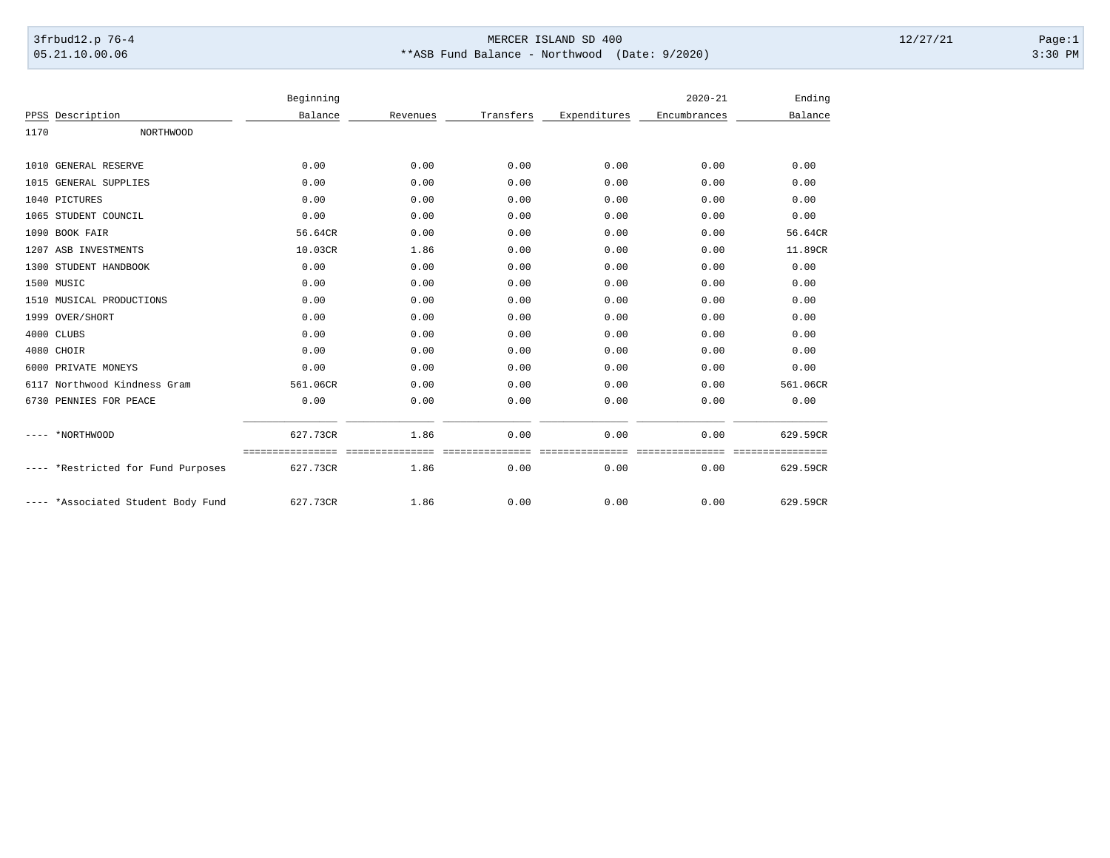## 3frbud12.p 76-4 Page:1 05.21.10.00.06 \*\*ASB Fund Balance - Northwood (Date: 9/2020) 3:30 PM

|                                 | Beginning |          |           |              | $2020 - 21$  | Ending    |
|---------------------------------|-----------|----------|-----------|--------------|--------------|-----------|
| Description<br>PPSS             | Balance   | Revenues | Transfers | Expenditures | Encumbrances | Balance   |
| 1170<br>NORTHWOOD               |           |          |           |              |              |           |
|                                 |           |          |           |              |              |           |
| 1010 GENERAL RESERVE            | 0.00      | 0.00     | 0.00      | 0.00         | 0.00         | 0.00      |
| 1015 GENERAL SUPPLIES           | 0.00      | 0.00     | 0.00      | 0.00         | 0.00         | 0.00      |
| 1040 PICTURES                   | 0.00      | 0.00     | 0.00      | 0.00         | 0.00         | 0.00      |
| 1065 STUDENT COUNCIL            | 0.00      | 0.00     | 0.00      | 0.00         | 0.00         | 0.00      |
| BOOK FAIR<br>1090               | 56.64CR   | 0.00     | 0.00      | 0.00         | 0.00         | 56.64CR   |
| 1207 ASB INVESTMENTS            | 10.03CR   | 1.86     | 0.00      | 0.00         | 0.00         | 11.89CR   |
| STUDENT HANDBOOK<br>1300        | 0.00      | 0.00     | 0.00      | 0.00         | 0.00         | 0.00      |
| 1500 MUSIC                      | 0.00      | 0.00     | 0.00      | 0.00         | 0.00         | 0.00      |
| MUSICAL PRODUCTIONS<br>1510     | 0.00      | 0.00     | 0.00      | 0.00         | 0.00         | 0.00      |
| 1999 OVER/SHORT                 | 0.00      | 0.00     | 0.00      | 0.00         | 0.00         | 0.00      |
| 4000 CLUBS                      | 0.00      | 0.00     | 0.00      | 0.00         | 0.00         | 0.00      |
| 4080 CHOIR                      | 0.00      | 0.00     | 0.00      | 0.00         | 0.00         | 0.00      |
| PRIVATE MONEYS<br>6000          | 0.00      | 0.00     | 0.00      | 0.00         | 0.00         | 0.00      |
| Northwood Kindness Gram<br>6117 | 561.06CR  | 0.00     | 0.00      | 0.00         | 0.00         | 561.06CR  |
| PENNIES FOR PEACE<br>6730       | 0.00      | 0.00     | 0.00      | 0.00         | 0.00         | 0.00      |
|                                 |           |          |           |              |              |           |
| *NORTHWOOD                      | 627.73CR  | 1.86     | 0.00      | 0.00         | 0.00         | 629.59CR  |
|                                 |           |          |           |              |              | ========= |
| *Restricted for Fund Purposes   | 627.73CR  | 1.86     | 0.00      | 0.00         | 0.00         | 629.59CR  |
|                                 |           |          |           |              |              |           |
| *Associated Student Body Fund   | 627.73CR  | 1.86     | 0.00      | 0.00         | 0.00         | 629.59CR  |